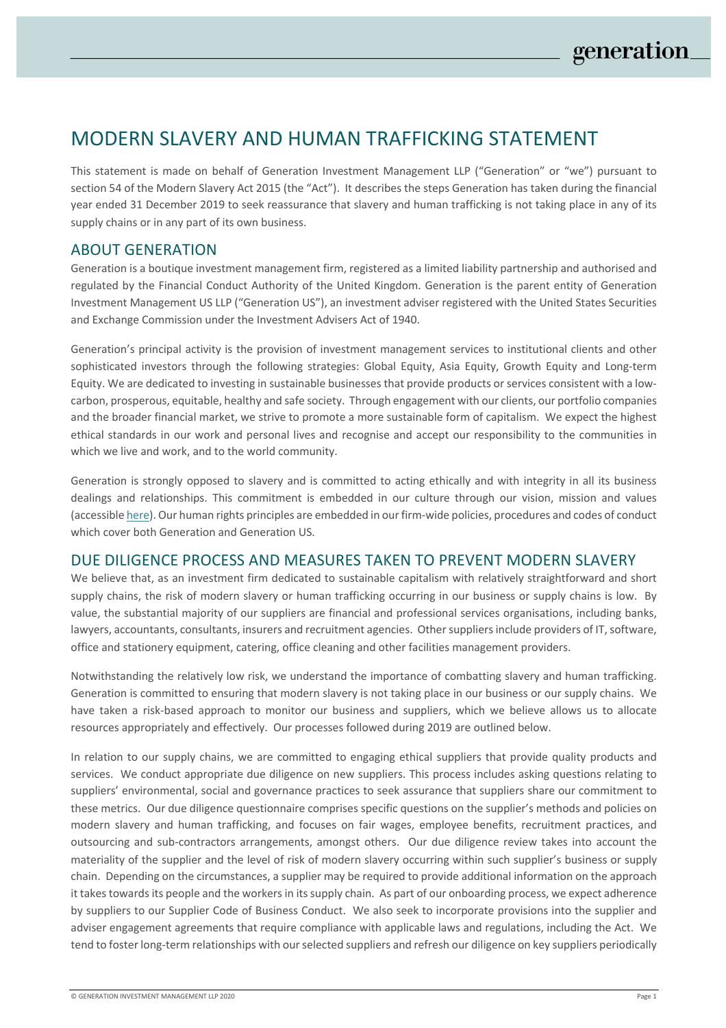# MODERN SLAVERY AND HUMAN TRAFFICKING STATEMENT

This statement is made on behalf of Generation Investment Management LLP ("Generation" or "we") pursuant to section 54 of the Modern Slavery Act 2015 (the "Act"). It describes the steps Generation has taken during the financial year ended 31 December 2019 to seek reassurance that slavery and human trafficking is not taking place in any of its supply chains or in any part of its own business.

## ABOUT GENERATION

Generation is a boutique investment management firm, registered as a limited liability partnership and authorised and regulated by the Financial Conduct Authority of the United Kingdom. Generation is the parent entity of Generation Investment Management US LLP ("Generation US"), an investment adviser registered with the United States Securities and Exchange Commission under the Investment Advisers Act of 1940.

Generation's principal activity is the provision of investment management services to institutional clients and other sophisticated investors through the following strategies: Global Equity, Asia Equity, Growth Equity and Long-term Equity. We are dedicated to investing in sustainable businesses that provide products or services consistent with a lowcarbon, prosperous, equitable, healthy and safe society. Through engagement with our clients, our portfolio companies and the broader financial market, we strive to promote a more sustainable form of capitalism. We expect the highest ethical standards in our work and personal lives and recognise and accept our responsibility to the communities in which we live and work, and to the world community.

Generation is strongly opposed to slavery and is committed to acting ethically and with integrity in all its business dealings and relationships. This commitment is embedded in our culture through our vision, mission and values (accessible here). Our human rights principles are embedded in our firm-wide policies, procedures and codes of conduct which cover both Generation and Generation US.

#### DUE DILIGENCE PROCESS AND MEASURES TAKEN TO PREVENT MODERN SLAVERY

We believe that, as an investment firm dedicated to sustainable capitalism with relatively straightforward and short supply chains, the risk of modern slavery or human trafficking occurring in our business or supply chains is low. By value, the substantial majority of our suppliers are financial and professional services organisations, including banks, lawyers, accountants, consultants, insurers and recruitment agencies. Other suppliers include providers of IT, software, office and stationery equipment, catering, office cleaning and other facilities management providers.

Notwithstanding the relatively low risk, we understand the importance of combatting slavery and human trafficking. Generation is committed to ensuring that modern slavery is not taking place in our business or our supply chains. We have taken a risk-based approach to monitor our business and suppliers, which we believe allows us to allocate resources appropriately and effectively. Our processes followed during 2019 are outlined below.

In relation to our supply chains, we are committed to engaging ethical suppliers that provide quality products and services. We conduct appropriate due diligence on new suppliers. This process includes asking questions relating to suppliers' environmental, social and governance practices to seek assurance that suppliers share our commitment to these metrics. Our due diligence questionnaire comprises specific questions on the supplier's methods and policies on modern slavery and human trafficking, and focuses on fair wages, employee benefits, recruitment practices, and outsourcing and sub-contractors arrangements, amongst others. Our due diligence review takes into account the materiality of the supplier and the level of risk of modern slavery occurring within such supplier's business or supply chain. Depending on the circumstances, a supplier may be required to provide additional information on the approach it takes towards its people and the workers in its supply chain. As part of our onboarding process, we expect adherence by suppliers to our Supplier Code of Business Conduct. We also seek to incorporate provisions into the supplier and adviser engagement agreements that require compliance with applicable laws and regulations, including the Act. We tend to foster long-term relationships with our selected suppliers and refresh our diligence on key suppliers periodically